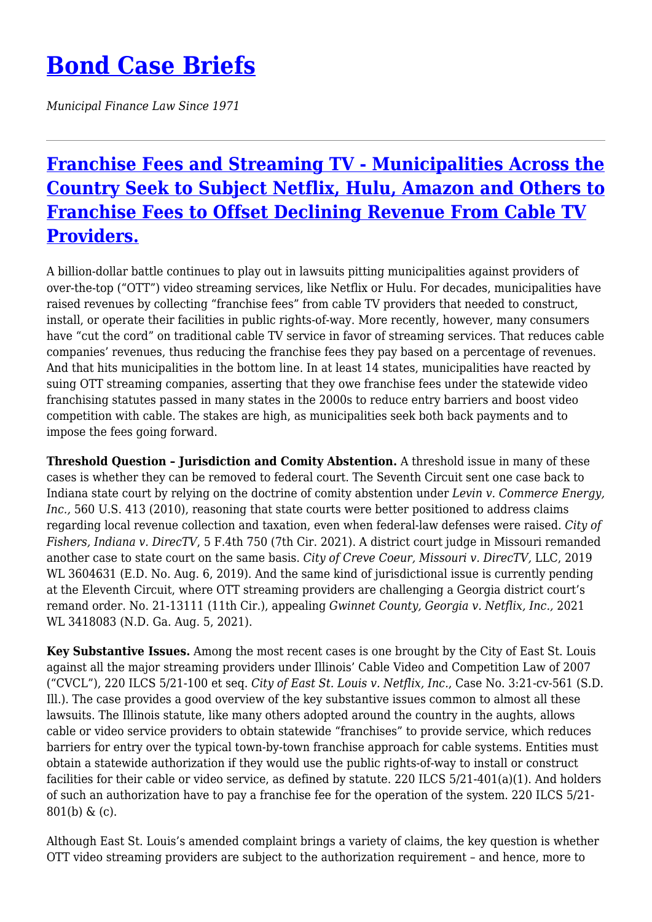## **[Bond Case Briefs](https://bondcasebriefs.com)**

*Municipal Finance Law Since 1971*

## **[Franchise Fees and Streaming TV - Municipalities Across the](https://bondcasebriefs.com/2022/03/01/tax/franchise-fees-and-streaming-tv-municipalities-across-the-country-seek-to-subject-netflix-hulu-amazon-and-others-to-franchise-fees-to-offset-declining-revenue-from-cable-tv-providers/) [Country Seek to Subject Netflix, Hulu, Amazon and Others to](https://bondcasebriefs.com/2022/03/01/tax/franchise-fees-and-streaming-tv-municipalities-across-the-country-seek-to-subject-netflix-hulu-amazon-and-others-to-franchise-fees-to-offset-declining-revenue-from-cable-tv-providers/) [Franchise Fees to Offset Declining Revenue From Cable TV](https://bondcasebriefs.com/2022/03/01/tax/franchise-fees-and-streaming-tv-municipalities-across-the-country-seek-to-subject-netflix-hulu-amazon-and-others-to-franchise-fees-to-offset-declining-revenue-from-cable-tv-providers/) [Providers.](https://bondcasebriefs.com/2022/03/01/tax/franchise-fees-and-streaming-tv-municipalities-across-the-country-seek-to-subject-netflix-hulu-amazon-and-others-to-franchise-fees-to-offset-declining-revenue-from-cable-tv-providers/)**

A billion-dollar battle continues to play out in lawsuits pitting municipalities against providers of over-the-top ("OTT") video streaming services, like Netflix or Hulu. For decades, municipalities have raised revenues by collecting "franchise fees" from cable TV providers that needed to construct, install, or operate their facilities in public rights-of-way. More recently, however, many consumers have "cut the cord" on traditional cable TV service in favor of streaming services. That reduces cable companies' revenues, thus reducing the franchise fees they pay based on a percentage of revenues. And that hits municipalities in the bottom line. In at least 14 states, municipalities have reacted by suing OTT streaming companies, asserting that they owe franchise fees under the statewide video franchising statutes passed in many states in the 2000s to reduce entry barriers and boost video competition with cable. The stakes are high, as municipalities seek both back payments and to impose the fees going forward.

**Threshold Question – Jurisdiction and Comity Abstention.** A threshold issue in many of these cases is whether they can be removed to federal court. The Seventh Circuit sent one case back to Indiana state court by relying on the doctrine of comity abstention under *Levin v. Commerce Energy, Inc.,* 560 U.S. 413 (2010), reasoning that state courts were better positioned to address claims regarding local revenue collection and taxation, even when federal-law defenses were raised. *City of Fishers, Indiana v. DirecTV*, 5 F.4th 750 (7th Cir. 2021). A district court judge in Missouri remanded another case to state court on the same basis. *City of Creve Coeur, Missouri v. DirecTV,* LLC, 2019 WL 3604631 (E.D. No. Aug. 6, 2019). And the same kind of jurisdictional issue is currently pending at the Eleventh Circuit, where OTT streaming providers are challenging a Georgia district court's remand order. No. 21-13111 (11th Cir.), appealing *Gwinnet County, Georgia v. Netflix, Inc.,* 2021 WL 3418083 (N.D. Ga. Aug. 5, 2021).

**Key Substantive Issues.** Among the most recent cases is one brought by the City of East St. Louis against all the major streaming providers under Illinois' Cable Video and Competition Law of 2007 ("CVCL"), 220 ILCS 5/21-100 et seq. *City of East St. Louis v. Netflix, Inc.*, Case No. 3:21-cv-561 (S.D. Ill.). The case provides a good overview of the key substantive issues common to almost all these lawsuits. The Illinois statute, like many others adopted around the country in the aughts, allows cable or video service providers to obtain statewide "franchises" to provide service, which reduces barriers for entry over the typical town-by-town franchise approach for cable systems. Entities must obtain a statewide authorization if they would use the public rights-of-way to install or construct facilities for their cable or video service, as defined by statute. 220 ILCS 5/21-401(a)(1). And holders of such an authorization have to pay a franchise fee for the operation of the system. 220 ILCS 5/21- 801(b) & (c).

Although East St. Louis's amended complaint brings a variety of claims, the key question is whether OTT video streaming providers are subject to the authorization requirement – and hence, more to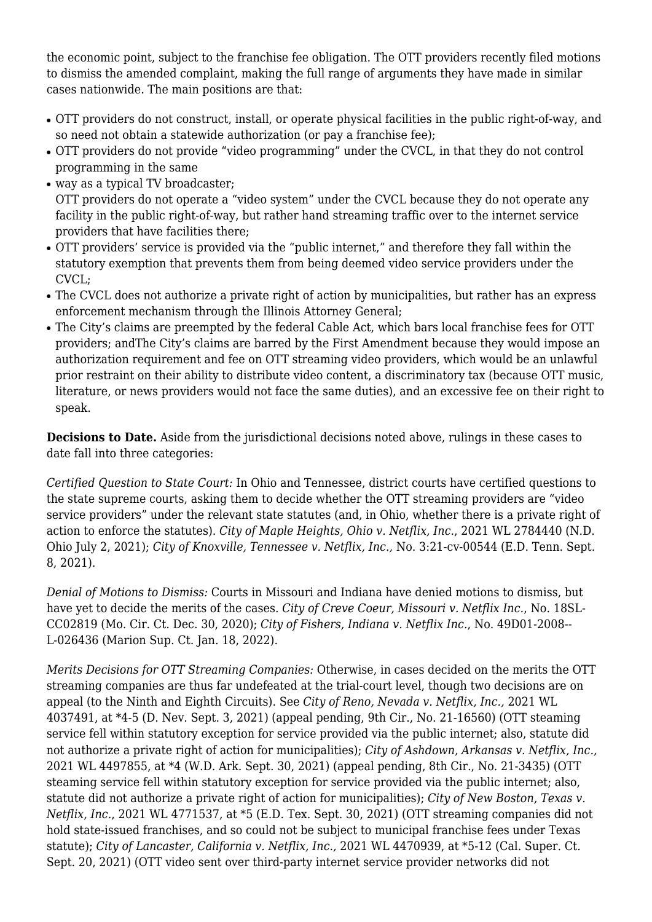the economic point, subject to the franchise fee obligation. The OTT providers recently filed motions to dismiss the amended complaint, making the full range of arguments they have made in similar cases nationwide. The main positions are that:

- OTT providers do not construct, install, or operate physical facilities in the public right-of-way, and so need not obtain a statewide authorization (or pay a franchise fee);
- OTT providers do not provide "video programming" under the CVCL, in that they do not control programming in the same
- way as a typical TV broadcaster; OTT providers do not operate a "video system" under the CVCL because they do not operate any facility in the public right-of-way, but rather hand streaming traffic over to the internet service providers that have facilities there;
- OTT providers' service is provided via the "public internet," and therefore they fall within the statutory exemption that prevents them from being deemed video service providers under the CVCL;
- The CVCL does not authorize a private right of action by municipalities, but rather has an express enforcement mechanism through the Illinois Attorney General;
- The City's claims are preempted by the federal Cable Act, which bars local franchise fees for OTT providers; andThe City's claims are barred by the First Amendment because they would impose an authorization requirement and fee on OTT streaming video providers, which would be an unlawful prior restraint on their ability to distribute video content, a discriminatory tax (because OTT music, literature, or news providers would not face the same duties), and an excessive fee on their right to speak.

**Decisions to Date.** Aside from the jurisdictional decisions noted above, rulings in these cases to date fall into three categories:

*Certified Question to State Court:* In Ohio and Tennessee, district courts have certified questions to the state supreme courts, asking them to decide whether the OTT streaming providers are "video service providers" under the relevant state statutes (and, in Ohio, whether there is a private right of action to enforce the statutes). *City of Maple Heights, Ohio v. Netflix, Inc.*, 2021 WL 2784440 (N.D. Ohio July 2, 2021); *City of Knoxville, Tennessee v. Netflix, Inc.,* No. 3:21-cv-00544 (E.D. Tenn. Sept. 8, 2021).

*Denial of Motions to Dismiss:* Courts in Missouri and Indiana have denied motions to dismiss, but have yet to decide the merits of the cases. *City of Creve Coeur, Missouri v. Netflix Inc.*, No. 18SL-CC02819 (Mo. Cir. Ct. Dec. 30, 2020); *City of Fishers, Indiana v. Netflix Inc.*, No. 49D01-2008-- L-026436 (Marion Sup. Ct. Jan. 18, 2022).

*Merits Decisions for OTT Streaming Companies:* Otherwise, in cases decided on the merits the OTT streaming companies are thus far undefeated at the trial-court level, though two decisions are on appeal (to the Ninth and Eighth Circuits). See *City of Reno, Nevada v. Netflix, Inc.,* 2021 WL 4037491, at \*4-5 (D. Nev. Sept. 3, 2021) (appeal pending, 9th Cir., No. 21-16560) (OTT steaming service fell within statutory exception for service provided via the public internet; also, statute did not authorize a private right of action for municipalities); *City of Ashdown, Arkansas v. Netflix, Inc.,* 2021 WL 4497855, at \*4 (W.D. Ark. Sept. 30, 2021) (appeal pending, 8th Cir., No. 21-3435) (OTT steaming service fell within statutory exception for service provided via the public internet; also, statute did not authorize a private right of action for municipalities); *City of New Boston, Texas v. Netflix, Inc.*, 2021 WL 4771537, at \*5 (E.D. Tex. Sept. 30, 2021) (OTT streaming companies did not hold state-issued franchises, and so could not be subject to municipal franchise fees under Texas statute); *City of Lancaster, California v. Netflix, Inc.,* 2021 WL 4470939, at \*5-12 (Cal. Super. Ct. Sept. 20, 2021) (OTT video sent over third-party internet service provider networks did not